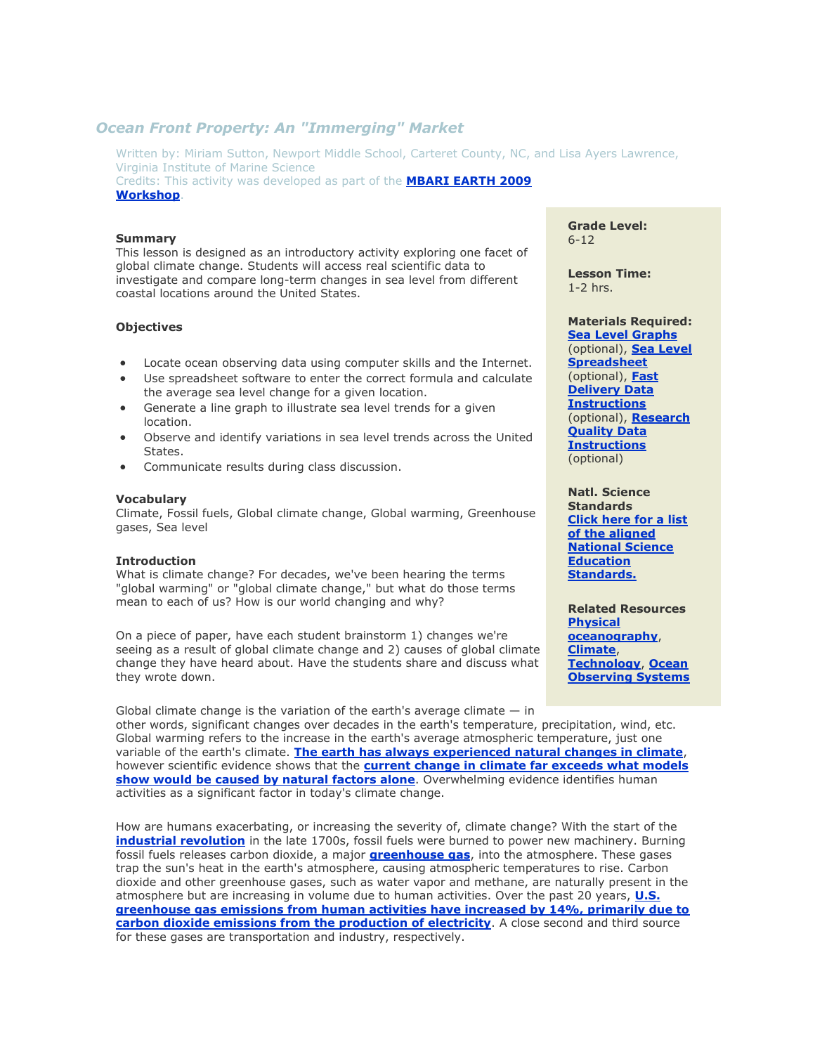# *Ocean Front Property: An "Immerging" Market*

Written by: Miriam Sutton, Newport Middle School, Carteret County, NC, and Lisa Ayers Lawrence, Virginia Institute of Marine Science Credits: This activity was developed as part of the **[MBARI EARTH 2009](http://www.mbari.org/earth/)  [Workshop](http://www.mbari.org/earth/)**.

#### **Summary**

This lesson is designed as an introductory activity exploring one facet of global climate change. Students will access real scientific data to investigate and compare long-term changes in sea level from different coastal locations around the United States.

## **Objectives**

- Locate ocean observing data using computer skills and the Internet.
- Use spreadsheet software to enter the correct formula and calculate the average sea level change for a given location.
- Generate a line graph to illustrate sea level trends for a given location.
- Observe and identify variations in sea level trends across the United States.
- Communicate results during class discussion.

### **Vocabulary**

Climate, Fossil fuels, Global climate change, Global warming, Greenhouse gases, Sea level

#### **Introduction**

What is climate change? For decades, we've been hearing the terms "global warming" or "global climate change," but what do those terms mean to each of us? How is our world changing and why?

On a piece of paper, have each student brainstorm 1) changes we're seeing as a result of global climate change and 2) causes of global climate change they have heard about. Have the students share and discuss what they wrote down.

Global climate change is the variation of the earth's average climate  $-$  in other words, significant changes over decades in the earth's temperature, precipitation, wind, etc. Global warming refers to the increase in the earth's average atmospheric temperature, just one variable of the earth's climate. **[The earth has always experienced natural changes in climate](http://www.ncdc.noaa.gov/paleo/globalwarming/paleobefore.html)**, however scientific evidence shows that the **[current change in climate far exceeds what models](http://www.ncdc.noaa.gov/faqs/climfaq15.html)  [show would be caused by natural factors alone](http://www.ncdc.noaa.gov/faqs/climfaq15.html)**. Overwhelming evidence identifies human activities as a significant factor in today's climate change.

How are humans exacerbating, or increasing the severity of, climate change? With the start of the **[industrial revolution](http://ecology.com/features/industrial_revolution/)** in the late 1700s, fossil fuels were burned to power new machinery. Burning fossil fuels releases carbon dioxide, a major **[greenhouse gas](http://www.epa.gov/climatechange/ghgemissions/)**, into the atmosphere. These gases trap the sun's heat in the earth's atmosphere, causing atmospheric temperatures to rise. Carbon dioxide and other greenhouse gases, such as water vapor and methane, are naturally present in the atmosphere but are increasing in volume due to human activities. Over the past 20 years, **[U.S.](http://www.epa.gov/climatechange/ghgemissions/global.html)  greenhouse gas [emissions from human activities have increased by 14%, primarily due to](http://www.epa.gov/climatechange/ghgemissions/global.html)  [carbon dioxide emissions from the production of electricity](http://www.epa.gov/climatechange/ghgemissions/global.html)**. A close second and third source for these gases are transportation and industry, respectively.

**Grade Level:** 6-12

**Lesson Time:**  1-2 hrs.

**Materials Required: [Sea Level Graphs](http://www2.vims.edu/bridge/TipsContent/SeaLevel/sealevelcharts.pdf)** (optional), **[Sea Level](http://www2.vims.edu/bridge/TipsContent/SeaLevel/sealevel.xls)  [Spreadsheet](http://www2.vims.edu/bridge/TipsContent/SeaLevel/sealevel.xls)** (optional), **[Fast](http://www2.vims.edu/bridge/TipsContent/SeaLevel/fastdatainstr.pdf)  [Delivery Data](http://www2.vims.edu/bridge/TipsContent/SeaLevel/fastdatainstr.pdf)  [Instructions](http://www2.vims.edu/bridge/TipsContent/SeaLevel/fastdatainstr.pdf)** (optional), **[Research](http://www2.vims.edu/bridge/TipsContent/SeaLevel/researchdatainstr.pdf)  Quality Data [Instructions](http://www2.vims.edu/bridge/TipsContent/SeaLevel/researchdatainstr.pdf)** (optional)

**Natl. Science Standards [Click here for a list](javascript:poptastic()  [of the aligned](javascript:poptastic()  [National Science](javascript:poptastic()  [Education](javascript:poptastic()  [Standards.](javascript:poptastic()**

**Related Resources [Physical](http://www2.vims.edu/bridge/search/bridge1output_menu.cfm?q=physical)  [oceanography](http://www2.vims.edu/bridge/search/bridge1output_menu.cfm?q=physical)**, **[Climate](http://www2.vims.edu/bridge/search/bridge1output_menu.cfm?q=climate)**, **[Technology](http://www2.vims.edu/bridge/search/bridge1output_menu.cfm?q=technology)**, **[Ocean](http://www2.vims.edu/bridge/search/bridge1output_menu.cfm?q=observing)  [Observing Systems](http://www2.vims.edu/bridge/search/bridge1output_menu.cfm?q=observing)**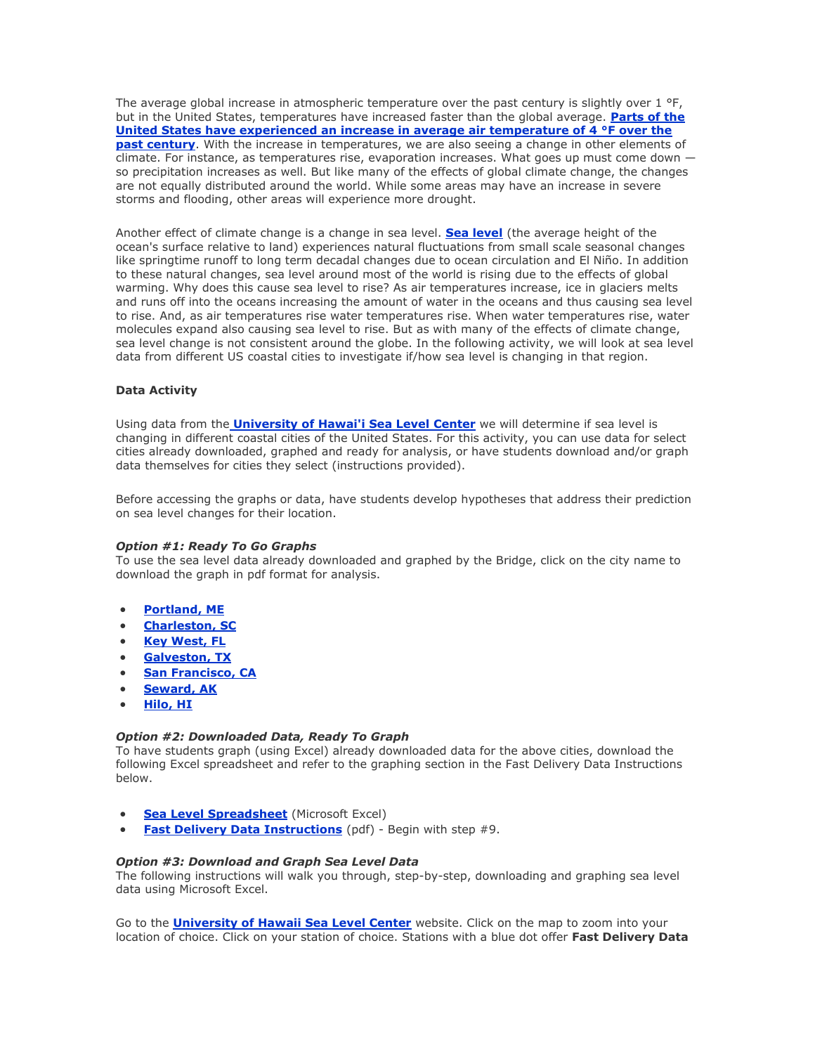The average global increase in atmospheric temperature over the past century is slightly over 1 °F, but in the United States, temperatures have increased faster than the global average. **[Parts of the](http://www.epa.gov/climatechange/science/indicators/weather-climate/temperature.html)  [United States have experienced an increase in average air temperature of 4 °F over the](http://www.epa.gov/climatechange/science/indicators/weather-climate/temperature.html)  [past century](http://www.epa.gov/climatechange/science/indicators/weather-climate/temperature.html)**. With the increase in temperatures, we are also seeing a change in other elements of climate. For instance, as temperatures rise, evaporation increases. What goes up must come down  $$ so precipitation increases as well. But like many of the effects of global climate change, the changes are not equally distributed around the world. While some areas may have an increase in severe storms and flooding, other areas will experience more drought.

Another effect of climate change is a change in sea level. **[Sea level](http://co-ops.nos.noaa.gov/sltrends/faq.shtml#q1)** (the average height of the ocean's surface relative to land) experiences natural fluctuations from small scale seasonal changes like springtime runoff to long term decadal changes due to ocean circulation and El Niño. In addition to these natural changes, sea level around most of the world is rising due to the effects of global warming. Why does this cause sea level to rise? As air temperatures increase, ice in glaciers melts and runs off into the oceans increasing the amount of water in the oceans and thus causing sea level to rise. And, as air temperatures rise water temperatures rise. When water temperatures rise, water molecules expand also causing sea level to rise. But as with many of the effects of climate change, sea level change is not consistent around the globe. In the following activity, we will look at sea level data from different US coastal cities to investigate if/how sea level is changing in that region.

### **Data Activity**

Using data from the **[University of Hawai'i Sea Level Center](http://ilikai.soest.hawaii.edu/uhslc/datai.html)** we will determine if sea level is changing in different coastal cities of the United States. For this activity, you can use data for select cities already downloaded, graphed and ready for analysis, or have students download and/or graph data themselves for cities they select (instructions provided).

Before accessing the graphs or data, have students develop hypotheses that address their prediction on sea level changes for their location.

### *Option #1: Ready To Go Graphs*

To use the sea level data already downloaded and graphed by the Bridge, click on the city name to download the graph in pdf format for analysis.

- **[Portland, ME](http://www2.vims.edu/bridge/TipsContent/SeaLevel/portland.pdf)**
- **[Charleston, SC](http://www2.vims.edu/bridge/TipsContent/SeaLevel/charleston.pdf)**
- **[Key West, FL](http://www2.vims.edu/bridge/TipsContent/SeaLevel/keywest.pdf)**
- **[Galveston, TX](http://www2.vims.edu/bridge/TipsContent/SeaLevel/galveston.pdf)**
- **[San Francisco, CA](http://www2.vims.edu/bridge/TipsContent/SeaLevel/sanfran.pdf)**
- **[Seward, AK](http://www2.vims.edu/bridge/TipsContent/SeaLevel/seward.pdf)**
- **[Hilo, HI](http://www2.vims.edu/bridge/TipsContent/SeaLevel/hilo.pdf)**

#### *Option #2: Downloaded Data, Ready To Graph*

To have students graph (using Excel) already downloaded data for the above cities, download the following Excel spreadsheet and refer to the graphing section in the Fast Delivery Data Instructions below.

- **[Sea Level Spreadsheet](http://www2.vims.edu/bridge/TipsContent/SeaLevel/sealevel.xls)** (Microsoft Excel)
- **[Fast Delivery Data Instructions](http://www2.vims.edu/bridge/TipsContent/SeaLevel/fastdatainstr.pdf)** (pdf) Begin with step #9.

# *Option #3: Download and Graph Sea Level Data*

The following instructions will walk you through, step-by-step, downloading and graphing sea level data using Microsoft Excel.

Go to the **[University of Hawaii Sea Level Center](http://ilikai.soest.hawaii.edu/uhslc/datai.html)** website. Click on the map to zoom into your location of choice. Click on your station of choice. Stations with a blue dot offer **Fast Delivery Data**